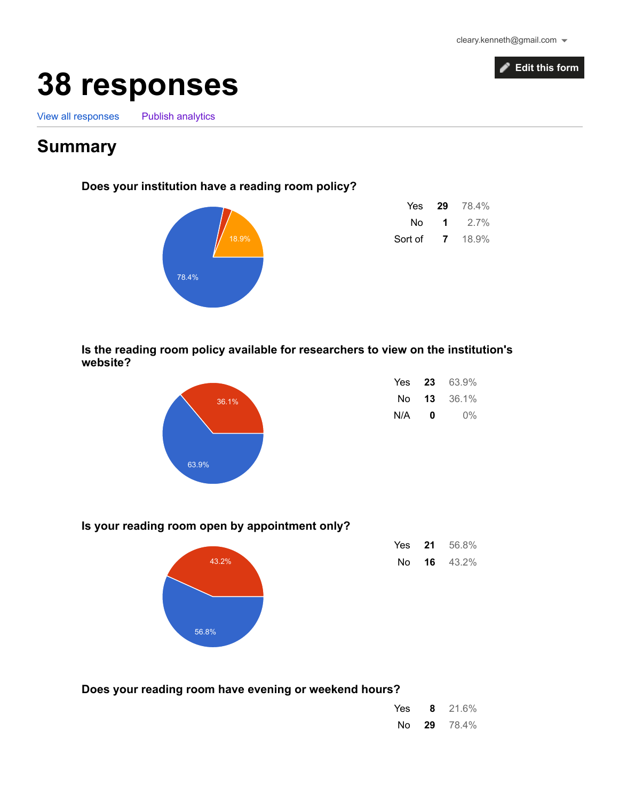

# 38 responses

View all [responses](https://docs.google.com/spreadsheets/d/1MRRHotD9a5hNhXT7g_GnWz7ERapRviqm1R0sIZrhWl0?usp=forms_web_l#gid=1754876687) Publish [analytics](https://docs.google.com/forms/d/10rBHy9TAuh7Wj6FEG0ulBY3xhVVVwOyH5g1u8KvFuaI/edit#start=publishanalytics)

# **Summary**

#### Does your institution have a reading room policy?



| Yes.    | 29 | 78.4%   |
|---------|----|---------|
| N٥      | 1  | $2.7\%$ |
| Sort of | 7  | 18.9%   |

#### Is the reading room policy available for researchers to view on the institution's website?



| Yes | 23 | 63.9% |
|-----|----|-------|
| N٥  | 13 | 36.1% |
| N/A | Ω  | $0\%$ |

#### Is your reading room open by appointment only?



| Yes | 21 | 56.8% |
|-----|----|-------|
| N٥  | 16 | 43.2% |

#### Does your reading room have evening or weekend hours?

| Yes | 8  | 21.6% |
|-----|----|-------|
| N٥  | 29 | 78.4% |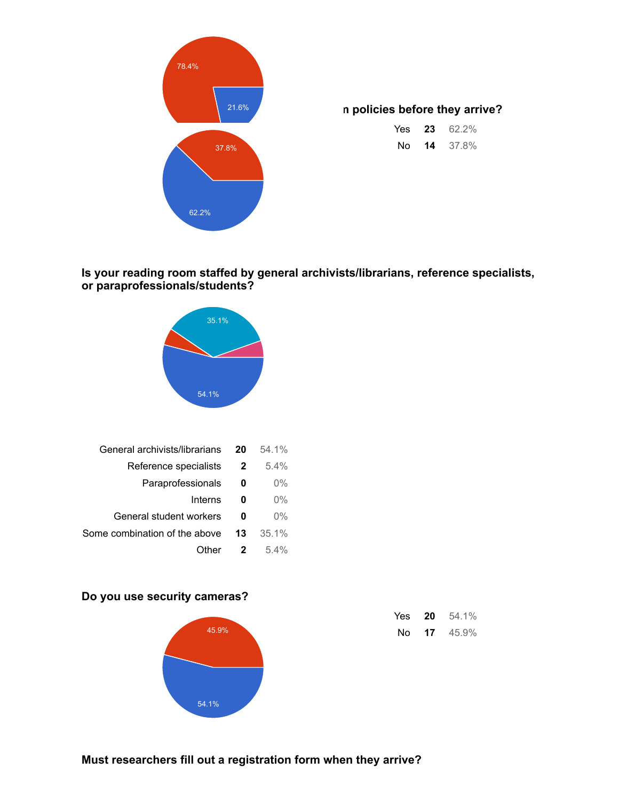

#### n policies before they arrive?

| Yes | 23 | 62.2% |
|-----|----|-------|
| N٥  | 14 | 37.8% |

Is your reading room staffed by general archivists/librarians, reference specialists, or paraprofessionals/students?



| General archivists/librarians<br>-20 | $54.1\%$ |
|--------------------------------------|----------|
| Reference specialists<br>2           | $5.4\%$  |
| Paraprofessionals<br>0               | $0\%$    |
| Interns<br>0                         | $0\%$    |
| General student workers<br>0         | $0\%$    |
| Some combination of the above<br>13  | 35.1%    |
| Other<br>2                           | $5.4\%$  |
|                                      |          |

#### Do you use security cameras?



| Yes | 20 | 54.1% |
|-----|----|-------|
| N٥  | 17 | 45.9% |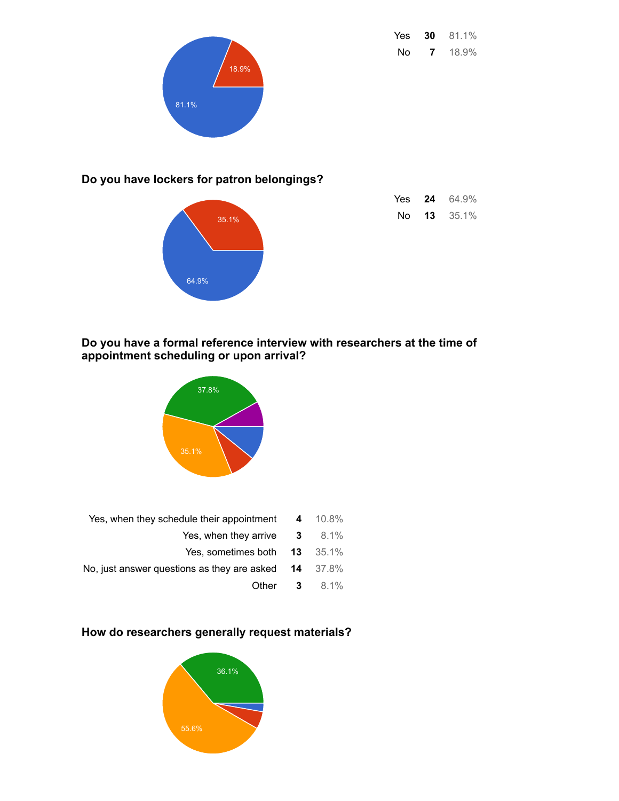| Yes | 30 | 81.1% |
|-----|----|-------|
| N٥  | 7  | 18.9% |



# Do you have lockers for patron belongings?



| Yes. | 24 | 64.9%    |
|------|----|----------|
| N٥   | 13 | $35.1\%$ |

#### Do you have a formal reference interview with researchers at the time of appointment scheduling or upon arrival?



|      | Yes, when they schedule their appointment $4$ 10.8%    |
|------|--------------------------------------------------------|
|      | Yes, when they arrive $3$ 8.1%                         |
|      | Yes, sometimes both $13$ 35.1%                         |
|      | No, just answer questions as they are asked $14$ 37.8% |
| 8.1% | Other 3                                                |
|      |                                                        |

# How do researchers generally request materials?

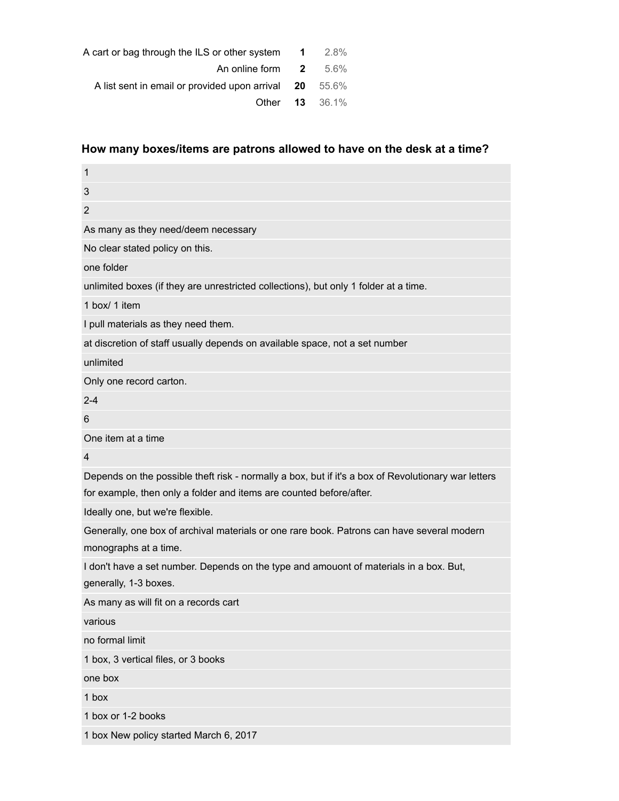| A cart or bag through the ILS or other system $1$ 2.8%   |                  |
|----------------------------------------------------------|------------------|
| An online form 2                                         | 5.6%             |
| A list sent in email or provided upon arrival $20$ 55.6% |                  |
|                                                          | Other $13$ 36.1% |

# How many boxes/items are patrons allowed to have on the desk at a time?

| 1                                                                                                                   |
|---------------------------------------------------------------------------------------------------------------------|
| 3                                                                                                                   |
| $\overline{2}$                                                                                                      |
| As many as they need/deem necessary                                                                                 |
| No clear stated policy on this.                                                                                     |
| one folder                                                                                                          |
| unlimited boxes (if they are unrestricted collections), but only 1 folder at a time.                                |
| 1 box/ 1 item                                                                                                       |
| I pull materials as they need them.                                                                                 |
| at discretion of staff usually depends on available space, not a set number                                         |
| unlimited                                                                                                           |
| Only one record carton.                                                                                             |
| $2 - 4$                                                                                                             |
| 6                                                                                                                   |
| One item at a time                                                                                                  |
| 4                                                                                                                   |
| Depends on the possible theft risk - normally a box, but if it's a box of Revolutionary war letters                 |
| for example, then only a folder and items are counted before/after.                                                 |
| Ideally one, but we're flexible.                                                                                    |
| Generally, one box of archival materials or one rare book. Patrons can have several modern<br>monographs at a time. |
| I don't have a set number. Depends on the type and amouont of materials in a box. But,<br>generally, 1-3 boxes.     |
| As many as will fit on a records cart                                                                               |
| various                                                                                                             |
| no formal limit                                                                                                     |
| 1 box, 3 vertical files, or 3 books                                                                                 |
| one box                                                                                                             |
| 1 box                                                                                                               |
| 1 box or 1-2 books                                                                                                  |
| 1 box New policy started March 6, 2017                                                                              |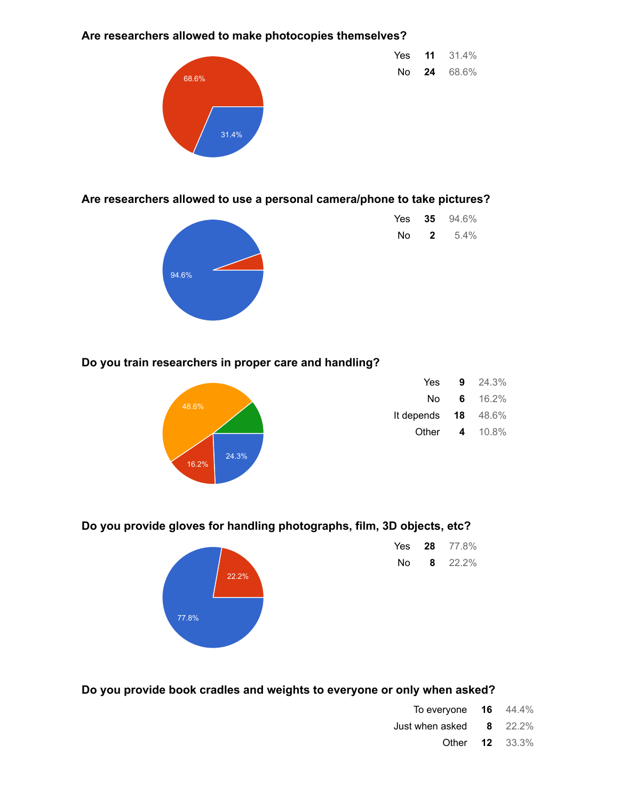#### Are researchers allowed to make photocopies themselves?



| Yes | 11 | 31.4% |
|-----|----|-------|
| No  | 24 | 68.6% |

#### Are researchers allowed to use a personal camera/phone to take pictures?



| Yes | 35 | 94.6% |
|-----|----|-------|
| No  | 2  | 5.4%  |

# Do you train researchers in proper care and handling?



| Yes        | 9  | 24.3% |
|------------|----|-------|
| No         | 6  | 16.2% |
| It depends | 18 | 48.6% |
| Other      | 4  | 10.8% |

#### Do you provide gloves for handling photographs, film, 3D objects, etc?



| Yes | 28 | 77.8% |
|-----|----|-------|
| N٥  | 8  | 22.2% |

#### Do you provide book cradles and weights to everyone or only when asked?

| To everyone | 16 | 44.4% |
|-------------|----|-------|
|-------------|----|-------|

- Just when asked  $8$  22.2%
	- Other 12 33.3%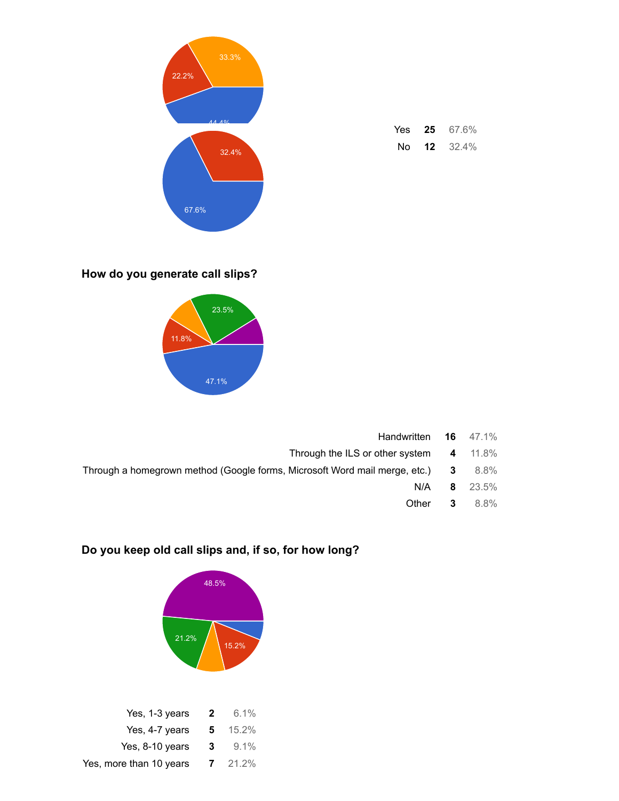

#### How do you generate call slips?



| Handwritten <b>16</b> 47.1%                                                              |   |                 |
|------------------------------------------------------------------------------------------|---|-----------------|
| Through the ILS or other system                                                          |   | 4 11.8%         |
| Through a homegrown method (Google forms, Microsoft Word mail merge, etc.) 3 8.8%<br>N/A |   |                 |
|                                                                                          |   | $8\quad 23.5\%$ |
| Other                                                                                    | 3 | 8.8%            |

### Do you keep old call slips and, if so, for how long?